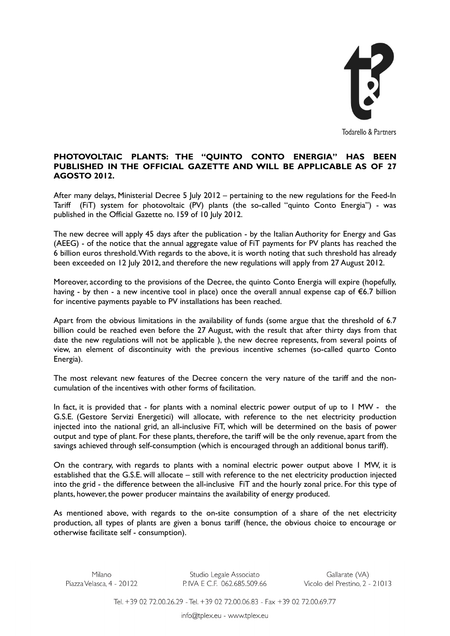

## **PHOTOVOLTAIC PLANTS: THE "QUINTO CONTO ENERGIA" HAS BEEN PUBLISHED IN THE OFFICIAL GAZETTE AND WILL BE APPLICABLE AS OF 27 AGOSTO 2012.**

After many delays, Ministerial Decree 5 July 2012 – pertaining to the new regulations for the Feed-In Tariff (FiT) system for photovoltaic (PV) plants (the so-called "quinto Conto Energia") - was published in the Official Gazette no. 159 of 10 July 2012.

The new decree will apply 45 days after the publication - by the Italian Authority for Energy and Gas (AEEG) - of the notice that the annual aggregate value of FiT payments for PV plants has reached the 6 billion euros threshold. With regards to the above, it is worth noting that such threshold has already been exceeded on 12 July 2012, and therefore the new regulations will apply from 27 August 2012.

Moreover, according to the provisions of the Decree, the quinto Conto Energia will expire (hopefully, having - by then - a new incentive tool in place) once the overall annual expense cap of €6.7 billion for incentive payments payable to PV installations has been reached.

Apart from the obvious limitations in the availability of funds (some argue that the threshold of 6.7 billion could be reached even before the 27 August, with the result that after thirty days from that date the new regulations will not be applicable ), the new decree represents, from several points of view, an element of discontinuity with the previous incentive schemes (so-called quarto Conto Energia).

The most relevant new features of the Decree concern the very nature of the tariff and the noncumulation of the incentives with other forms of facilitation.

In fact, it is provided that - for plants with a nominal electric power output of up to 1 MW - the G.S.E. (Gestore Servizi Energetici) will allocate, with reference to the net electricity production injected into the national grid, an all-inclusive FiT, which will be determined on the basis of power output and type of plant. For these plants, therefore, the tariff will be the only revenue, apart from the savings achieved through self-consumption (which is encouraged through an additional bonus tariff).

On the contrary, with regards to plants with a nominal electric power output above 1 MW, it is established that the G.S.E. will allocate – still with reference to the net electricity production injected into the grid - the difference between the all-inclusive FiT and the hourly zonal price. For this type of plants, however, the power producer maintains the availability of energy produced.

As mentioned above, with regards to the on-site consumption of a share of the net electricity production, all types of plants are given a bonus tariff (hence, the obvious choice to encourage or otherwise facilitate self - consumption).

Studio Legale Associato P. IVA E C.F. 062.685.509.66

Gallarate (VA) Vicolo del Prestino, 2 - 21013

Tel. +39 02 72.00.26.29 - Tel. +39 02 72.00.06.83 - Fax +39 02 72.00.69.77